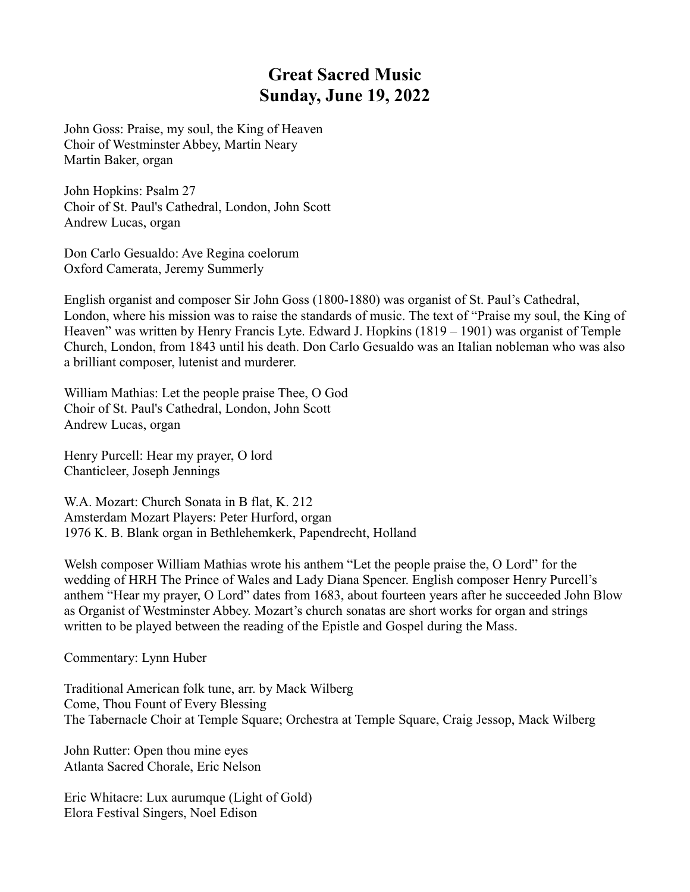## **Great Sacred Music Sunday, June 19, 2022**

John Goss: Praise, my soul, the King of Heaven Choir of Westminster Abbey, Martin Neary Martin Baker, organ

John Hopkins: Psalm 27 Choir of St. Paul's Cathedral, London, John Scott Andrew Lucas, organ

Don Carlo Gesualdo: Ave Regina coelorum Oxford Camerata, Jeremy Summerly

English organist and composer Sir John Goss (1800-1880) was organist of St. Paul's Cathedral, London, where his mission was to raise the standards of music. The text of "Praise my soul, the King of Heaven" was written by Henry Francis Lyte. Edward J. Hopkins (1819 – 1901) was organist of Temple Church, London, from 1843 until his death. Don Carlo Gesualdo was an Italian nobleman who was also a brilliant composer, lutenist and murderer.

William Mathias: Let the people praise Thee, O God Choir of St. Paul's Cathedral, London, John Scott Andrew Lucas, organ

Henry Purcell: Hear my prayer, O lord Chanticleer, Joseph Jennings

W.A. Mozart: Church Sonata in B flat, K. 212 Amsterdam Mozart Players: Peter Hurford, organ 1976 K. B. Blank organ in Bethlehemkerk, Papendrecht, Holland

Welsh composer William Mathias wrote his anthem "Let the people praise the, O Lord" for the wedding of HRH The Prince of Wales and Lady Diana Spencer. English composer Henry Purcell's anthem "Hear my prayer, O Lord" dates from 1683, about fourteen years after he succeeded John Blow as Organist of Westminster Abbey. Mozart's church sonatas are short works for organ and strings written to be played between the reading of the Epistle and Gospel during the Mass.

Commentary: Lynn Huber

Traditional American folk tune, arr. by Mack Wilberg Come, Thou Fount of Every Blessing The Tabernacle Choir at Temple Square; Orchestra at Temple Square, Craig Jessop, Mack Wilberg

John Rutter: Open thou mine eyes Atlanta Sacred Chorale, Eric Nelson

Eric Whitacre: Lux aurumque (Light of Gold) Elora Festival Singers, Noel Edison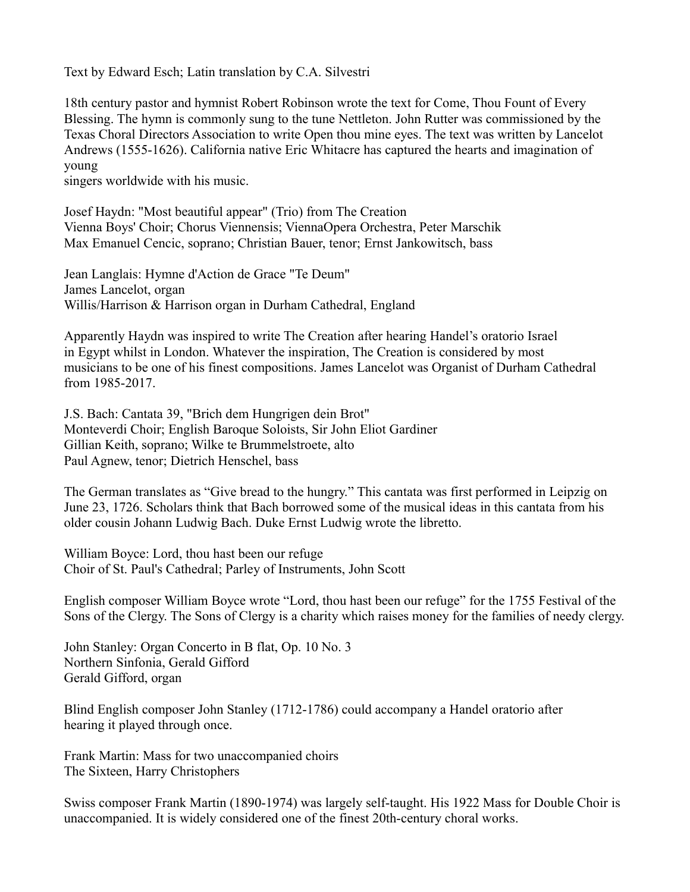Text by Edward Esch; Latin translation by C.A. Silvestri

18th century pastor and hymnist Robert Robinson wrote the text for Come, Thou Fount of Every Blessing. The hymn is commonly sung to the tune Nettleton. John Rutter was commissioned by the Texas Choral Directors Association to write Open thou mine eyes. The text was written by Lancelot Andrews (1555-1626). California native Eric Whitacre has captured the hearts and imagination of young

singers worldwide with his music.

Josef Haydn: "Most beautiful appear" (Trio) from The Creation Vienna Boys' Choir; Chorus Viennensis; ViennaOpera Orchestra, Peter Marschik Max Emanuel Cencic, soprano; Christian Bauer, tenor; Ernst Jankowitsch, bass

Jean Langlais: Hymne d'Action de Grace "Te Deum" James Lancelot, organ Willis/Harrison & Harrison organ in Durham Cathedral, England

Apparently Haydn was inspired to write The Creation after hearing Handel's oratorio Israel in Egypt whilst in London. Whatever the inspiration, The Creation is considered by most musicians to be one of his finest compositions. James Lancelot was Organist of Durham Cathedral from 1985-2017.

J.S. Bach: Cantata 39, "Brich dem Hungrigen dein Brot" Monteverdi Choir; English Baroque Soloists, Sir John Eliot Gardiner Gillian Keith, soprano; Wilke te Brummelstroete, alto Paul Agnew, tenor; Dietrich Henschel, bass

The German translates as "Give bread to the hungry." This cantata was first performed in Leipzig on June 23, 1726. Scholars think that Bach borrowed some of the musical ideas in this cantata from his older cousin Johann Ludwig Bach. Duke Ernst Ludwig wrote the libretto.

William Boyce: Lord, thou hast been our refuge Choir of St. Paul's Cathedral; Parley of Instruments, John Scott

English composer William Boyce wrote "Lord, thou hast been our refuge" for the 1755 Festival of the Sons of the Clergy. The Sons of Clergy is a charity which raises money for the families of needy clergy.

John Stanley: Organ Concerto in B flat, Op. 10 No. 3 Northern Sinfonia, Gerald Gifford Gerald Gifford, organ

Blind English composer John Stanley (1712-1786) could accompany a Handel oratorio after hearing it played through once.

Frank Martin: Mass for two unaccompanied choirs The Sixteen, Harry Christophers

Swiss composer Frank Martin (1890-1974) was largely self-taught. His 1922 Mass for Double Choir is unaccompanied. It is widely considered one of the finest 20th-century choral works.